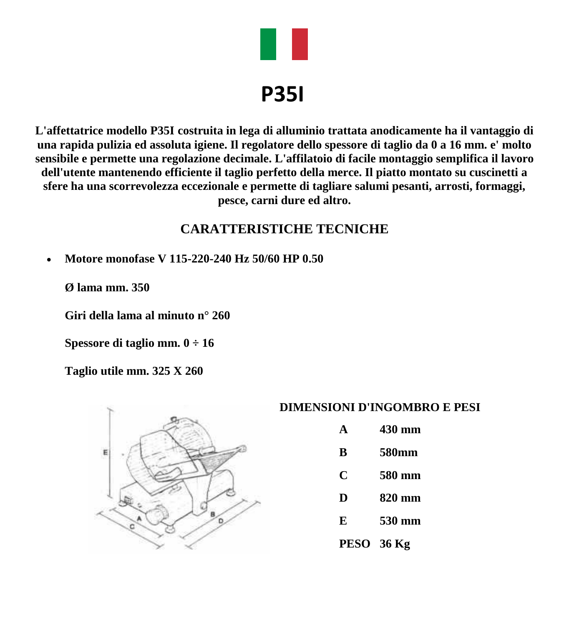

# **P35I**

**L'affettatrice modello P35I costruita in lega di alluminio trattata anodicamente ha il vantaggio di una rapida pulizia ed assoluta igiene. Il regolatore dello spessore di taglio da 0 a 16 mm. e' molto sensibile e permette una regolazione decimale. L'affilatoio di facile montaggio semplifica il lavoro dell'utente mantenendo efficiente il taglio perfetto della merce. Il piatto montato su cuscinetti a sfere ha una scorrevolezza eccezionale e permette di tagliare salumi pesanti, arrosti, formaggi, pesce, carni dure ed altro.**

## **CARATTERISTICHE TECNICHE**

**Motore monofase V 115-220-240 Hz 50/60 HP 0.50**

**Ø lama mm. 350**

**Giri della lama al minuto n° 260**

**Spessore di taglio mm. 0 ÷ 16**

**Taglio utile mm. 325 X 260**



#### **DIMENSIONI D'INGOMBRO E PESI**

- **A 430 mm**
- **B 580mm**
- **C 580 mm**
- **D 820 mm**
- **E 530 mm**
- **PESO 36 Kg**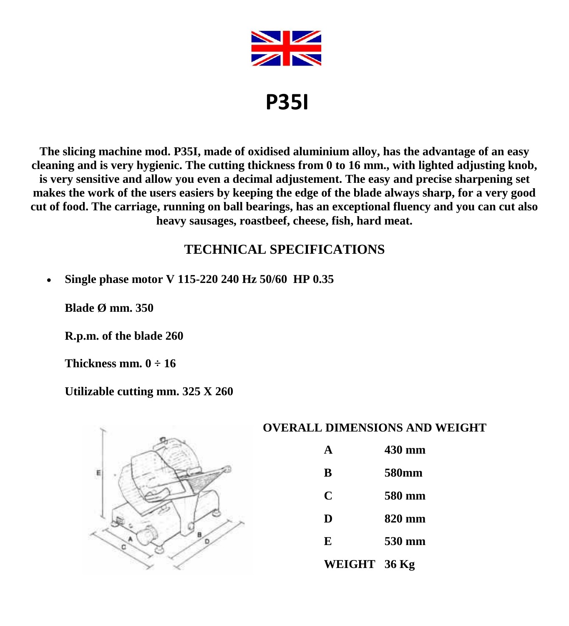

**P35I**

**The slicing machine mod. P35I, made of oxidised aluminium alloy, has the advantage of an easy cleaning and is very hygienic. The cutting thickness from 0 to 16 mm., with lighted adjusting knob, is very sensitive and allow you even a decimal adjustement. The easy and precise sharpening set makes the work of the users easiers by keeping the edge of the blade always sharp, for a very good cut of food. The carriage, running on ball bearings, has an exceptional fluency and you can cut also heavy sausages, roastbeef, cheese, fish, hard meat.**

## **TECHNICAL SPECIFICATIONS**

**Single phase motor V 115-220 240 Hz 50/60 HP 0.35**

**Blade Ø mm. 350**

**R.p.m. of the blade 260**

**Thickness mm. 0 ÷ 16**

**Utilizable cutting mm. 325 X 260**



#### **OVERALL DIMENSIONS AND WEIGHT**

- **A 430 mm**
- **B 580mm**
- **C 580 mm**
- 
- **D 820 mm**
- **E 530 mm**
- **WEIGHT 36 Kg**